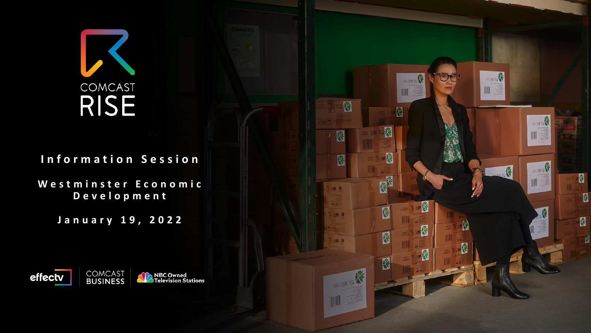# COMCAST **RISE**

### **I n f o r m a t i o n S e s s i o n**

**W e s t m i n s t e r E c o n o m i c D e v e l o p m e n t**

**J a n u a r y 1 9 , 2 0 2 2**



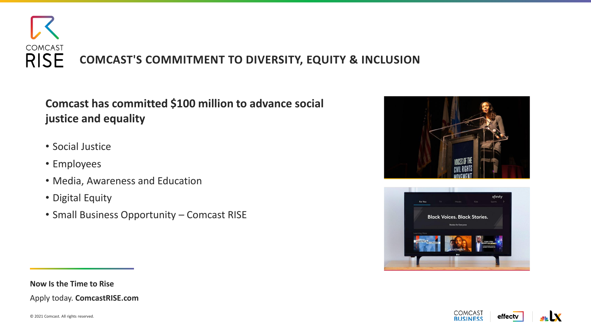

**Comcast has committed \$100 million to advance social justice and equality**

- Social Justice
- Employees
- Media, Awareness and Education
- Digital Equity
- Small Business Opportunity Comcast RISE







#### **Now Is the Time to Rise**

Apply today. **ComcastRISE.com**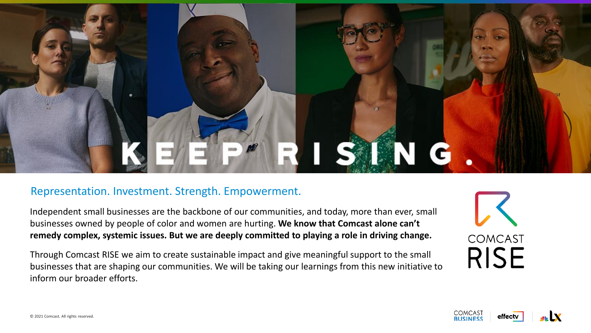# SING I

#### Representation. Investment. Strength. Empowerment.

Independent small businesses are the backbone of our communities, and today, more than ever, small businesses owned by people of color and women are hurting. **We know that Comcast alone can't remedy complex, systemic issues. But we are deeply committed to playing a role in driving change.**

Through Comcast RISE we aim to create sustainable impact and give meaningful support to the small businesses that are shaping our communities. We will be taking our learnings from this new initiative to inform our broader efforts.

**COMCAST RISE** 

effect

COMCAS<sub>1</sub>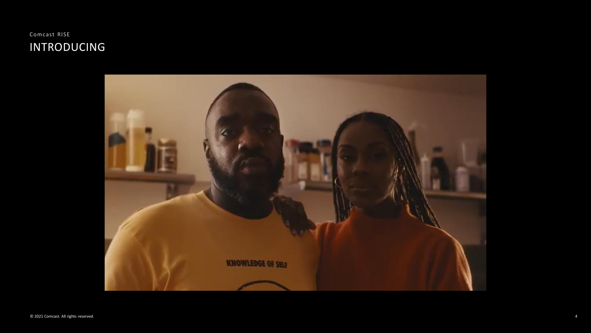

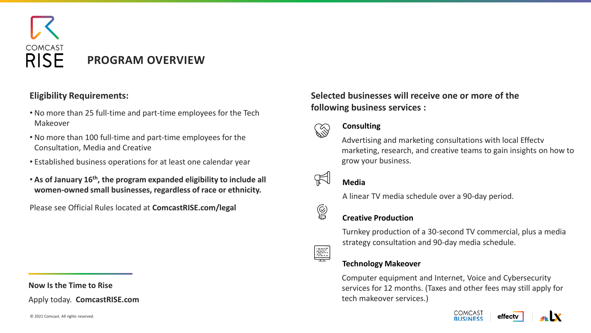

- No more than 25 full-time and part-time employees for the Tech Makeover
- No more than 100 full-time and part-time employees for the Consultation, Media and Creative
- Established business operations for at least one calendar year
- **As of January 16th, the program expanded eligibility to include all women-owned small businesses, regardless of race or ethnicity.**

Please see Official Rules located at **ComcastRISE.com/legal**

**Now Is the Time to Rise**

Apply today. **ComcastRISE.com**

#### **Eligibility Requirements: Selected businesses will receive one or more of the following business services :**



 $\circledS$ 

LIKE

#### **Consulting**

Advertising and marketing consultations with local Effectv marketing, research, and creative teams to gain insights on how to grow your business.



#### **Media**

A linear TV media schedule over a 90-day period.

#### **Creative Production**

Turnkey production of a 30-second TV commercial, plus a media strategy consultation and 90-day media schedule.

#### **Technology Makeover**

Computer equipment and Internet, Voice and Cybersecurity services for 12 months. (Taxes and other fees may still apply for tech makeover services.)

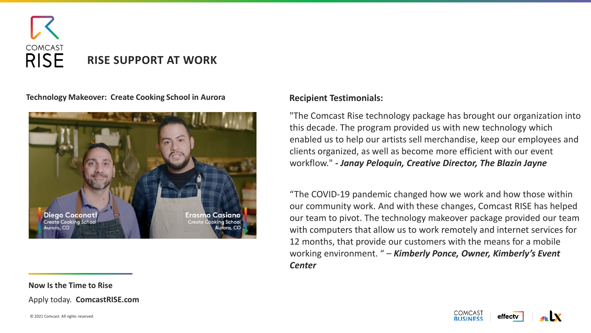

**Technology Makeover: Create Cooking School in Aurora**



#### **Recipient Testimonials:**

"The Comcast Rise technology package has brought our organization into this decade. The program provided us with new technology which enabled us to help our artists sell merchandise, keep our employees and clients organized, as well as become more efficient with our event workflow." *- Janay Peloquin, Creative Director, The Blazin Jayne*

"The COVID-19 pandemic changed how we work and how those within our community work. And with these changes, Comcast RISE has helped our team to pivot. The technology makeover package provided our team with computers that allow us to work remotely and internet services for 12 months, that provide our customers with the means for a mobile working environment. " – *Kimberly Ponce, Owner, Kimberly's Event Center*

**COMCAST** 

effect

**Now Is the Time to Rise**

Apply today. **ComcastRISE.com**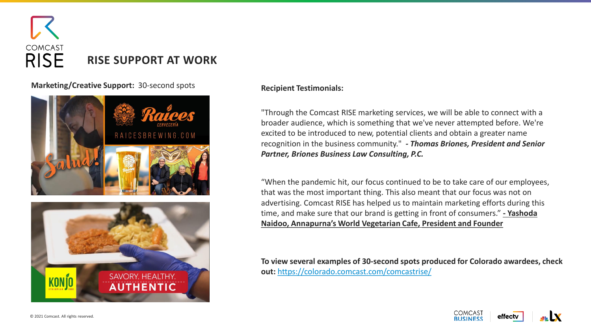

**Marketing/Creative Support:** 30-second spots



**HENTIC** 

#### **Recipient Testimonials:**

"Through the Comcast RISE marketing services, we will be able to connect with a broader audience, which is something that we've never attempted before. We're excited to be introduced to new, potential clients and obtain a greater name recognition in the business community." *- Thomas Briones, President and Senior Partner, Briones Business Law Consulting, P.C.*

"When the pandemic hit, our focus continued to be to take care of our employees, that was the most important thing. This also meant that our focus was not on advertising. Comcast RISE has helped us to maintain marketing efforts during this time, and make sure that our brand is getting in front of consumers." **- Yashoda Naidoo, Annapurna's World Vegetarian Cafe, President and Founder**

**To view several examples of 30-second spots produced for Colorado awardees, check out:** <https://colorado.comcast.com/comcastrise/>

**COMCAST** 

**RUSINESS** 

effect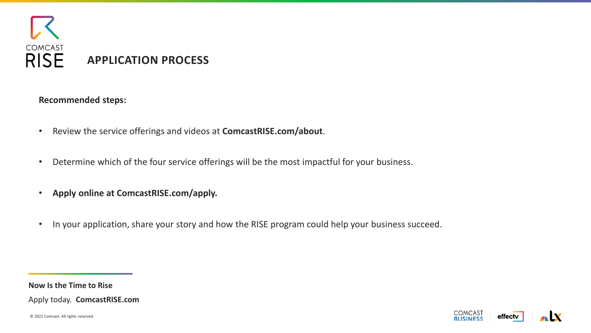

**Recommended steps:**

- Review the service offerings and videos at **ComcastRISE.com/about**.
- Determine which of the four service offerings will be the most impactful for your business.
- **Apply online at ComcastRISE.com/apply.**
- In your application, share your story and how the RISE program could help your business succeed.

**COMCAST** 

**RUSINESS** 

effectv

**Now Is the Time to Rise**

Apply today. **ComcastRISE.com**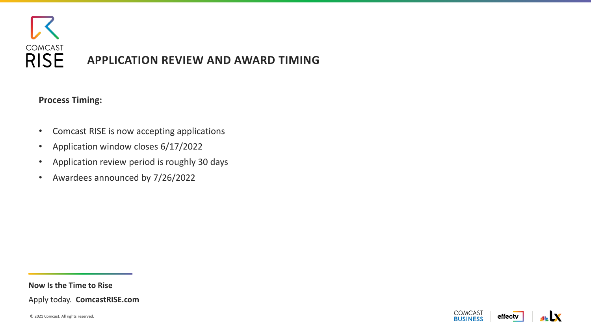

**COMCAST** 

**BUSINESS** 

effectv

#### **Process Timing:**

- Comcast RISE is now accepting applications
- Application window closes 6/17/2022
- Application review period is roughly 30 days
- Awardees announced by 7/26/2022

**Now Is the Time to Rise**

Apply today. **ComcastRISE.com**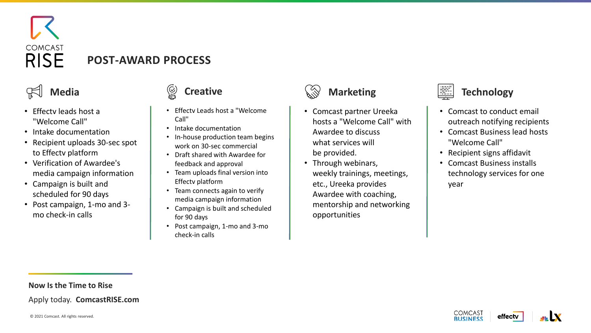

## **POST-AWARD PROCESS**

- Effectv leads host a "Welcome Call"
- Intake documentation
- Recipient uploads 30-sec spot to Effectv platform
- Verification of Awardee's media campaign information
- Campaign is built and scheduled for 90 days
- Post campaign, 1-mo and 3 mo check-in calls

- Effectv Leads host a "Welcome Call"
- Intake documentation
- In-house production team begins work on 30-sec commercial
- Draft shared with Awardee for feedback and approval
- Team uploads final version into Effectv platform
- Team connects again to verify media campaign information
- Campaign is built and scheduled for 90 days
- Post campaign, 1-mo and 3-mo check-in calls



- Comcast partner Ureeka hosts a "Welcome Call" with Awardee to discuss what services will be provided.
- Through webinars, weekly trainings, meetings, etc., Ureeka provides Awardee with coaching, mentorship and networking opportunities



- Comcast to conduct email outreach notifying recipients
- Comcast Business lead hosts "Welcome Call"
- Recipient signs affidavit
- Comcast Business installs technology services for one year

#### **Now Is the Time to Rise**

Apply today. **ComcastRISE.com**

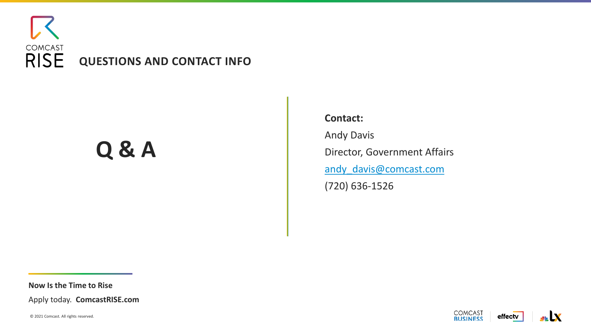

# **Q & A**

**Contact:** Andy Davis Director, Government Affairs [andy\\_davis@comcast.com](mailto:andy_davis@comcast.com) (720) 636-1526

**Now Is the Time to Rise**

Apply today. **ComcastRISE.com**

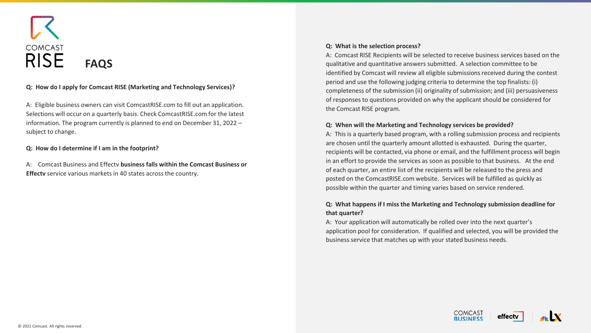

#### **Q: How do I apply for Comcast RISE (Marketing and Technology Services)?**

A: Eligible business owners can visit ComcastRISE.com to fill out an application. Selections will occur on a quarterly basis. Check ComcastRISE.com for the latest information. The program currently is planned to end on December 31, 2022 – subject to change.

#### **Q: How do I determine if I am in the footprint?**

A: Comcast Business and Effectv **business falls within the Comcast Business or Effectv** service various markets in 40 states across the country.

#### **Q: What is the selection process?**

A: Comcast RISE Recipients will be selected to receive business services based on the qualitative and quantitative answers submitted. A selection committee to be identified by Comcast will review all eligible submissions received during the contest period and use the following judging criteria to determine the top finalists: (i) completeness of the submission (ii) originality of submission; and (iii) persuasiveness of responses to questions provided on why the applicant should be considered for the Comcast RISE program.

#### **Q: When will the Marketing and Technology services be provided?**

A: This is a quarterly based program, with a rolling submission process and recipients are chosen until the quarterly amount allotted is exhausted. During the quarter, recipients will be contacted, via phone or email, and the fulfillment process will begin in an effort to provide the services as soon as possible to that business. At the end of each quarter, an entire list of the recipients will be released to the press and posted on the ComcastRISE.com website. Services will be fulfilled as quickly as possible within the quarter and timing varies based on service rendered.

#### **Q: What happens if I miss the Marketing and Technology submission deadline for that quarter?**

A: Your application will automatically be rolled over into the next quarter's application pool for consideration. If qualified and selected, you will be provided the business service that matches up with your stated business needs.